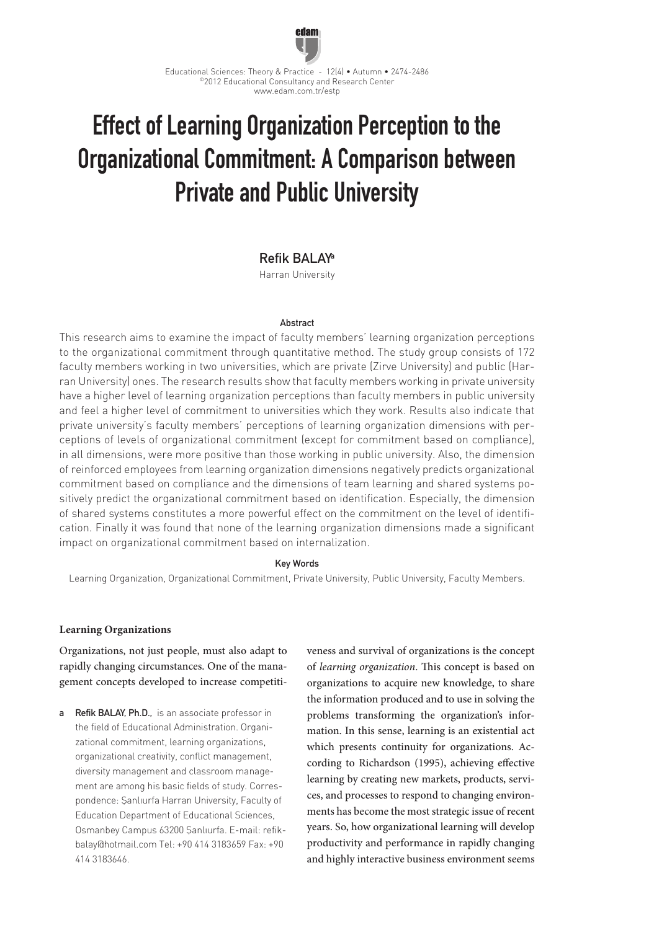

# Effect of Learning Organization Perception to the Organizational Commitment: A Comparison between Private and Public University

# Refik BALAYa

Harran University

#### **Abstract**

This research aims to examine the impact of faculty members' learning organization perceptions to the organizational commitment through quantitative method. The study group consists of 172 faculty members working in two universities, which are private (Zirve University) and public (Harran University) ones. The research results show that faculty members working in private university have a higher level of learning organization perceptions than faculty members in public university and feel a higher level of commitment to universities which they work. Results also indicate that private university's faculty members' perceptions of learning organization dimensions with perceptions of levels of organizational commitment (except for commitment based on compliance), in all dimensions, were more positive than those working in public university. Also, the dimension of reinforced employees from learning organization dimensions negatively predicts organizational commitment based on compliance and the dimensions of team learning and shared systems positively predict the organizational commitment based on identification. Especially, the dimension of shared systems constitutes a more powerful effect on the commitment on the level of identification. Finally it was found that none of the learning organization dimensions made a significant impact on organizational commitment based on internalization.

## Key Words

Learning Organization, Organizational Commitment, Private University, Public University, Faculty Members.

## **Learning Organizations**

Organizations, not just people, must also adapt to rapidly changing circumstances. One of the management concepts developed to increase competiti-

a Refik BALAY, Ph.D., is an associate professor in the field of Educational Administration. Organizational commitment, learning organizations, organizational creativity, conflict management, diversity management and classroom management are among his basic fields of study. Correspondence: Şanlıurfa Harran University, Faculty of Education Department of Educational Sciences, Osmanbey Campus 63200 Şanlıurfa. E-mail: refikbalay@hotmail.com Tel: +90 414 3183659 Fax: +90 414 3183646.

veness and survival of organizations is the concept of *learning organization*. This concept is based on organizations to acquire new knowledge, to share the information produced and to use in solving the problems transforming the organization's information. In this sense, learning is an existential act which presents continuity for organizations. According to Richardson (1995), achieving effective learning by creating new markets, products, services, and processes to respond to changing environments has become the most strategic issue of recent years. So, how organizational learning will develop productivity and performance in rapidly changing and highly interactive business environment seems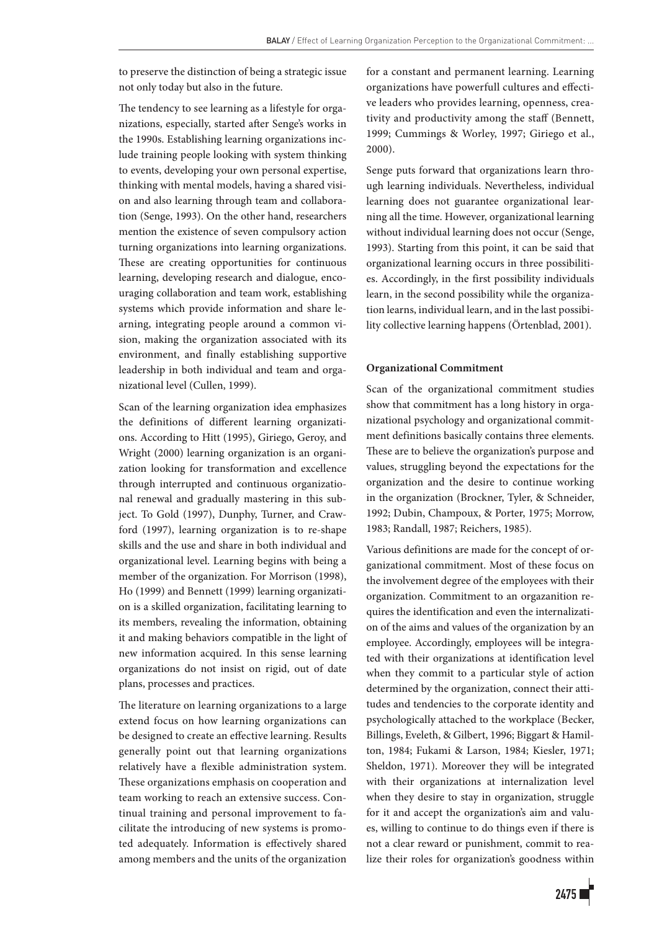to preserve the distinction of being a strategic issue not only today but also in the future.

The tendency to see learning as a lifestyle for organizations, especially, started after Senge's works in the 1990s. Establishing learning organizations include training people looking with system thinking to events, developing your own personal expertise, thinking with mental models, having a shared vision and also learning through team and collaboration (Senge, 1993). On the other hand, researchers mention the existence of seven compulsory action turning organizations into learning organizations. These are creating opportunities for continuous learning, developing research and dialogue, encouraging collaboration and team work, establishing systems which provide information and share learning, integrating people around a common vision, making the organization associated with its environment, and finally establishing supportive leadership in both individual and team and organizational level (Cullen, 1999).

Scan of the learning organization idea emphasizes the definitions of different learning organizations. According to Hitt (1995), Giriego, Geroy, and Wright (2000) learning organization is an organization looking for transformation and excellence through interrupted and continuous organizational renewal and gradually mastering in this subject. To Gold (1997), Dunphy, Turner, and Crawford (1997), learning organization is to re-shape skills and the use and share in both individual and organizational level. Learning begins with being a member of the organization. For Morrison (1998), Ho (1999) and Bennett (1999) learning organization is a skilled organization, facilitating learning to its members, revealing the information, obtaining it and making behaviors compatible in the light of new information acquired. In this sense learning organizations do not insist on rigid, out of date plans, processes and practices.

The literature on learning organizations to a large extend focus on how learning organizations can be designed to create an effective learning. Results generally point out that learning organizations relatively have a flexible administration system. These organizations emphasis on cooperation and team working to reach an extensive success. Continual training and personal improvement to facilitate the introducing of new systems is promoted adequately. Information is effectively shared among members and the units of the organization for a constant and permanent learning. Learning organizations have powerfull cultures and effective leaders who provides learning, openness, creativity and productivity among the staff (Bennett, 1999; Cummings & Worley, 1997; Giriego et al., 2000).

Senge puts forward that organizations learn through learning individuals. Nevertheless, individual learning does not guarantee organizational learning all the time. However, organizational learning without individual learning does not occur (Senge, 1993). Starting from this point, it can be said that organizational learning occurs in three possibilities. Accordingly, in the first possibility individuals learn, in the second possibility while the organization learns, individual learn, and in the last possibility collective learning happens (Örtenblad, 2001).

## **Organizational Commitment**

Scan of the organizational commitment studies show that commitment has a long history in organizational psychology and organizational commitment definitions basically contains three elements. These are to believe the organization's purpose and values, struggling beyond the expectations for the organization and the desire to continue working in the organization (Brockner, Tyler, & Schneider, 1992; Dubin, Champoux, & Porter, 1975; Morrow, 1983; Randall, 1987; Reichers, 1985).

Various definitions are made for the concept of organizational commitment. Most of these focus on the involvement degree of the employees with their organization. Commitment to an orgazanition requires the identification and even the internalization of the aims and values of the organization by an employee. Accordingly, employees will be integrated with their organizations at identification level when they commit to a particular style of action determined by the organization, connect their attitudes and tendencies to the corporate identity and psychologically attached to the workplace (Becker, Billings, Eveleth, & Gilbert, 1996; Biggart & Hamilton, 1984; Fukami & Larson, 1984; Kiesler, 1971; Sheldon, 1971). Moreover they will be integrated with their organizations at internalization level when they desire to stay in organization, struggle for it and accept the organization's aim and values, willing to continue to do things even if there is not a clear reward or punishment, commit to realize their roles for organization's goodness within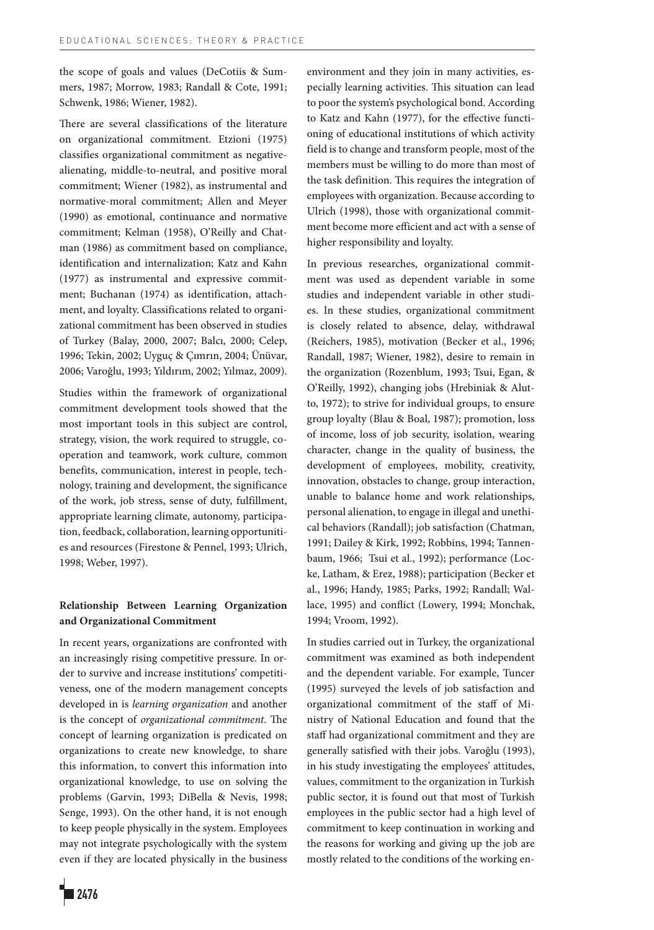the scope of goals and values (DeCotiis & Summers, 1987; Morrow, 1983; Randall & Cote, 1991; Schwenk, 1986; Wiener, 1982).

There are several classifications of the literature on organizational commitment. Etzioni (1975) classifies organizational commitment as negativealienating, middle-to-neutral, and positive moral commitment; Wiener (1982), as instrumental and normative-moral commitment; Allen and Meyer (1990) as emotional, continuance and normative commitment; Kelman (1958), O'Reilly and Chatman (1986) as commitment based on compliance, identification and internalization; Katz and Kahn (1977) as instrumental and expressive commitment; Buchanan (1974) as identification, attachment, and loyalty. Classifications related to organizational commitment has been observed in studies of Turkey (Balay, 2000, 2007; Balcı, 2000; Celep, 1996; Tekin, 2002; Uyguç & Çımrın, 2004; Ünüvar, 2006; Varoğlu, 1993; Yıldırım, 2002; Yılmaz, 2009).

Studies within the framework of organizational commitment development tools showed that the most important tools in this subject are control, strategy, vision, the work required to struggle, cooperation and teamwork, work culture, common benefits, communication, interest in people, technology, training and development, the significance of the work, job stress, sense of duty, fulfillment, appropriate learning climate, autonomy, participation, feedback, collaboration, learning opportunities and resources (Firestone & Pennel, 1993; Ulrich, 1998; Weber, 1997).

# **Relationship Between Learning Organization and Organizational Commitment**

In recent years, organizations are confronted with an increasingly rising competitive pressure. In order to survive and increase institutions' competitiveness, one of the modern management concepts developed in is *learning organization* and another is the concept of *organizational commitment*. The concept of learning organization is predicated on organizations to create new knowledge, to share this information, to convert this information into organizational knowledge, to use on solving the problems (Garvin, 1993; DiBella & Nevis, 1998; Senge, 1993). On the other hand, it is not enough to keep people physically in the system. Employees may not integrate psychologically with the system even if they are located physically in the business

environment and they join in many activities, especially learning activities. This situation can lead to poor the system's psychological bond. According to Katz and Kahn (1977), for the effective functioning of educational institutions of which activity field is to change and transform people, most of the members must be willing to do more than most of the task definition. This requires the integration of employees with organization. Because according to Ulrich (1998), those with organizational commitment become more efficient and act with a sense of higher responsibility and loyalty.

In previous researches, organizational commitment was used as dependent variable in some studies and independent variable in other studies. In these studies, organizational commitment is closely related to absence, delay, withdrawal (Reichers, 1985), motivation (Becker et al., 1996; Randall, 1987; Wiener, 1982), desire to remain in the organization (Rozenblum, 1993; Tsui, Egan, & O'Reilly, 1992), changing jobs (Hrebiniak & Alutto, 1972); to strive for individual groups, to ensure group loyalty (Blau & Boal, 1987); promotion, loss of income, loss of job security, isolation, wearing character, change in the quality of business, the development of employees, mobility, creativity, innovation, obstacles to change, group interaction, unable to balance home and work relationships, personal alienation, to engage in illegal and unethical behaviors (Randall); job satisfaction (Chatman, 1991; Dailey & Kirk, 1992; Robbins, 1994; Tannenbaum, 1966; Tsui et al., 1992); performance (Locke, Latham, & Erez, 1988); participation (Becker et al., 1996; Handy, 1985; Parks, 1992; Randall; Wallace, 1995) and conflict (Lowery, 1994; Monchak, 1994; Vroom, 1992).

In studies carried out in Turkey, the organizational commitment was examined as both independent and the dependent variable. For example, Tuncer (1995) surveyed the levels of job satisfaction and organizational commitment of the staff of Ministry of National Education and found that the staff had organizational commitment and they are generally satisfied with their jobs. Varoğlu (1993), in his study investigating the employees' attitudes, values, commitment to the organization in Turkish public sector, it is found out that most of Turkish employees in the public sector had a high level of commitment to keep continuation in working and the reasons for working and giving up the job are mostly related to the conditions of the working en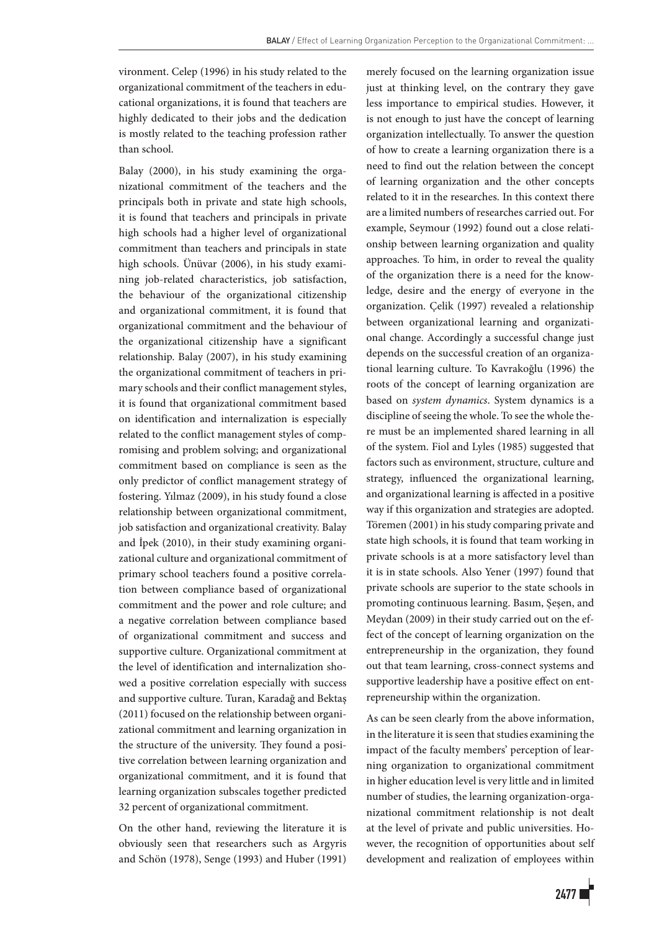vironment. Celep (1996) in his study related to the organizational commitment of the teachers in educational organizations, it is found that teachers are highly dedicated to their jobs and the dedication is mostly related to the teaching profession rather than school.

Balay (2000), in his study examining the organizational commitment of the teachers and the principals both in private and state high schools, it is found that teachers and principals in private high schools had a higher level of organizational commitment than teachers and principals in state high schools. Ünüvar (2006), in his study examining job-related characteristics, job satisfaction, the behaviour of the organizational citizenship and organizational commitment, it is found that organizational commitment and the behaviour of the organizational citizenship have a significant relationship. Balay (2007), in his study examining the organizational commitment of teachers in primary schools and their conflict management styles, it is found that organizational commitment based on identification and internalization is especially related to the conflict management styles of compromising and problem solving; and organizational commitment based on compliance is seen as the only predictor of conflict management strategy of fostering. Yılmaz (2009), in his study found a close relationship between organizational commitment, job satisfaction and organizational creativity. Balay and İpek (2010), in their study examining organizational culture and organizational commitment of primary school teachers found a positive correlation between compliance based of organizational commitment and the power and role culture; and a negative correlation between compliance based of organizational commitment and success and supportive culture. Organizational commitment at the level of identification and internalization showed a positive correlation especially with success and supportive culture. Turan, Karadağ and Bektaş (2011) focused on the relationship between organizational commitment and learning organization in the structure of the university. They found a positive correlation between learning organization and organizational commitment, and it is found that learning organization subscales together predicted 32 percent of organizational commitment.

On the other hand, reviewing the literature it is obviously seen that researchers such as Argyris and Schön (1978), Senge (1993) and Huber (1991) merely focused on the learning organization issue just at thinking level, on the contrary they gave less importance to empirical studies. However, it is not enough to just have the concept of learning organization intellectually. To answer the question of how to create a learning organization there is a need to find out the relation between the concept of learning organization and the other concepts related to it in the researches. In this context there are a limited numbers of researches carried out. For example, Seymour (1992) found out a close relationship between learning organization and quality approaches. To him, in order to reveal the quality of the organization there is a need for the knowledge, desire and the energy of everyone in the organization. Çelik (1997) revealed a relationship between organizational learning and organizational change. Accordingly a successful change just depends on the successful creation of an organizational learning culture. To Kavrakoğlu (1996) the roots of the concept of learning organization are based on *system dynamics*. System dynamics is a discipline of seeing the whole. To see the whole there must be an implemented shared learning in all of the system. Fiol and Lyles (1985) suggested that factors such as environment, structure, culture and strategy, influenced the organizational learning, and organizational learning is affected in a positive way if this organization and strategies are adopted. Töremen (2001) in his study comparing private and state high schools, it is found that team working in private schools is at a more satisfactory level than it is in state schools. Also Yener (1997) found that private schools are superior to the state schools in promoting continuous learning. Basım, Şeşen, and Meydan (2009) in their study carried out on the effect of the concept of learning organization on the entrepreneurship in the organization, they found out that team learning, cross-connect systems and supportive leadership have a positive effect on entrepreneurship within the organization.

As can be seen clearly from the above information, in the literature it is seen that studies examining the impact of the faculty members' perception of learning organization to organizational commitment in higher education level is very little and in limited number of studies, the learning organization-organizational commitment relationship is not dealt at the level of private and public universities. However, the recognition of opportunities about self development and realization of employees within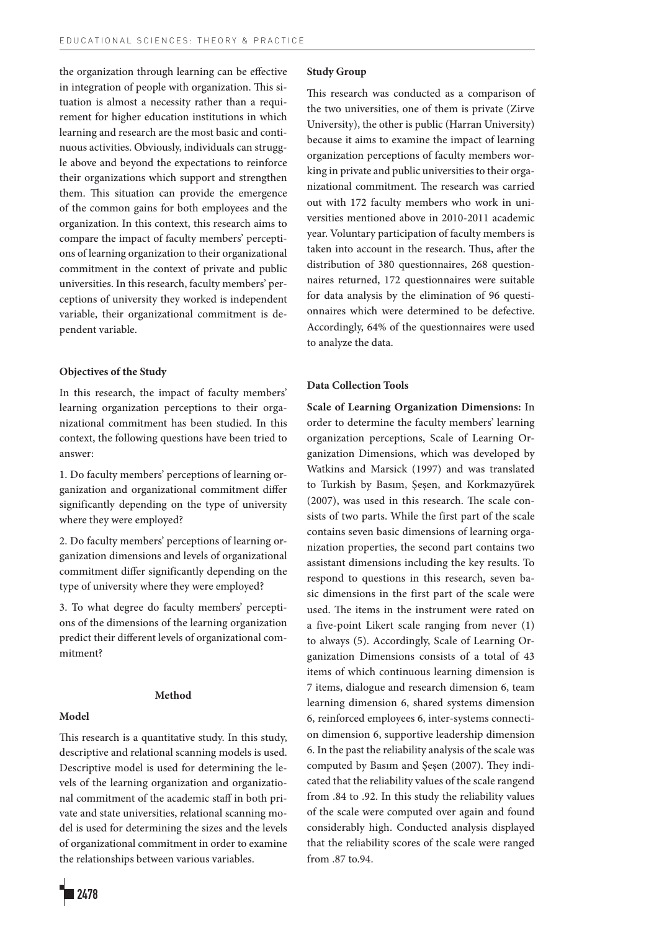the organization through learning can be effective in integration of people with organization. This situation is almost a necessity rather than a requirement for higher education institutions in which learning and research are the most basic and continuous activities. Obviously, individuals can struggle above and beyond the expectations to reinforce their organizations which support and strengthen them. This situation can provide the emergence of the common gains for both employees and the organization. In this context, this research aims to compare the impact of faculty members' perceptions of learning organization to their organizational commitment in the context of private and public universities. In this research, faculty members' perceptions of university they worked is independent variable, their organizational commitment is dependent variable.

### **Objectives of the Study**

In this research, the impact of faculty members' learning organization perceptions to their organizational commitment has been studied. In this context, the following questions have been tried to answer:

1. Do faculty members' perceptions of learning organization and organizational commitment differ significantly depending on the type of university where they were employed?

2. Do faculty members' perceptions of learning organization dimensions and levels of organizational commitment differ significantly depending on the type of university where they were employed?

3. To what degree do faculty members' perceptions of the dimensions of the learning organization predict their different levels of organizational commitment?

## **Method**

## **Model**

This research is a quantitative study. In this study, descriptive and relational scanning models is used. Descriptive model is used for determining the levels of the learning organization and organizational commitment of the academic staff in both private and state universities, relational scanning model is used for determining the sizes and the levels of organizational commitment in order to examine the relationships between various variables.

## **Study Group**

This research was conducted as a comparison of the two universities, one of them is private (Zirve University), the other is public (Harran University) because it aims to examine the impact of learning organization perceptions of faculty members working in private and public universities to their organizational commitment. The research was carried out with 172 faculty members who work in universities mentioned above in 2010-2011 academic year. Voluntary participation of faculty members is taken into account in the research. Thus, after the distribution of 380 questionnaires, 268 questionnaires returned, 172 questionnaires were suitable for data analysis by the elimination of 96 questionnaires which were determined to be defective. Accordingly, 64% of the questionnaires were used to analyze the data.

## **Data Collection Tools**

**Scale of Learning Organization Dimensions:** In order to determine the faculty members' learning organization perceptions, Scale of Learning Organization Dimensions, which was developed by Watkins and Marsick (1997) and was translated to Turkish by Basım, Şeşen, and Korkmazyürek (2007), was used in this research. The scale consists of two parts. While the first part of the scale contains seven basic dimensions of learning organization properties, the second part contains two assistant dimensions including the key results. To respond to questions in this research, seven basic dimensions in the first part of the scale were used. The items in the instrument were rated on a five-point Likert scale ranging from never (1) to always (5). Accordingly, Scale of Learning Organization Dimensions consists of a total of 43 items of which continuous learning dimension is 7 items, dialogue and research dimension 6, team learning dimension 6, shared systems dimension 6, reinforced employees 6, inter-systems connection dimension 6, supportive leadership dimension 6. In the past the reliability analysis of the scale was computed by Basım and Şeşen (2007). They indicated that the reliability values of the scale rangend from .84 to .92. In this study the reliability values of the scale were computed over again and found considerably high. Conducted analysis displayed that the reliability scores of the scale were ranged from .87 to.94.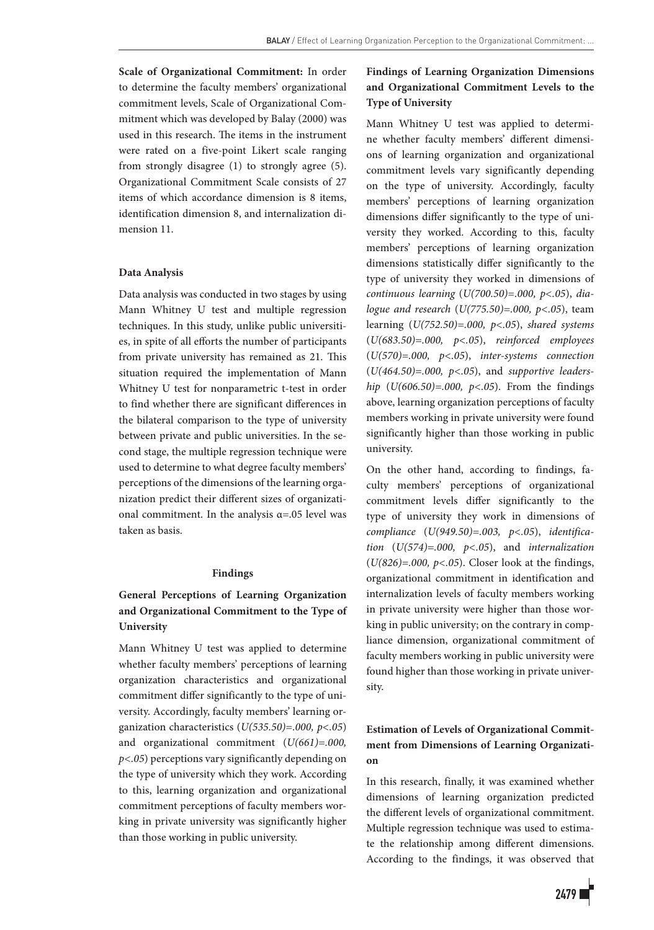**Scale of Organizational Commitment:** In order to determine the faculty members' organizational commitment levels, Scale of Organizational Commitment which was developed by Balay (2000) was used in this research. The items in the instrument were rated on a five-point Likert scale ranging from strongly disagree (1) to strongly agree (5). Organizational Commitment Scale consists of 27 items of which accordance dimension is 8 items, identification dimension 8, and internalization dimension 11.

## **Data Analysis**

Data analysis was conducted in two stages by using Mann Whitney U test and multiple regression techniques. In this study, unlike public universities, in spite of all efforts the number of participants from private university has remained as 21. This situation required the implementation of Mann Whitney U test for nonparametric t-test in order to find whether there are significant differences in the bilateral comparison to the type of university between private and public universities. In the second stage, the multiple regression technique were used to determine to what degree faculty members' perceptions of the dimensions of the learning organization predict their different sizes of organizational commitment. In the analysis  $\alpha$ =.05 level was taken as basis.

## **Findings**

# **General Perceptions of Learning Organization and Organizational Commitment to the Type of University**

Mann Whitney U test was applied to determine whether faculty members' perceptions of learning organization characteristics and organizational commitment differ significantly to the type of university. Accordingly, faculty members' learning organization characteristics (*U(535.50)=.000, p<.05*) and organizational commitment (*U(661)=.000, p<.05*) perceptions vary significantly depending on the type of university which they work. According to this, learning organization and organizational commitment perceptions of faculty members working in private university was significantly higher than those working in public university.

## **Findings of Learning Organization Dimensions and Organizational Commitment Levels to the Type of University**

Mann Whitney U test was applied to determine whether faculty members' different dimensions of learning organization and organizational commitment levels vary significantly depending on the type of university. Accordingly, faculty members' perceptions of learning organization dimensions differ significantly to the type of university they worked. According to this, faculty members' perceptions of learning organization dimensions statistically differ significantly to the type of university they worked in dimensions of *continuous learning* (*U(700.50)=.000, p<.05*), *dialogue and research* (*U(775.50)=.000, p<.05*), team learning (*U(752.50)=.000, p<.05*), *shared systems* (*U(683.50)=.000, p<.05*), *reinforced employees* (*U(570)=.000, p<.05*), *inter-systems connection* (*U(464.50)=.000, p<.05*), and *supportive leadership* (*U(606.50)=.000, p<.05*). From the findings above, learning organization perceptions of faculty members working in private university were found significantly higher than those working in public university.

On the other hand, according to findings, faculty members' perceptions of organizational commitment levels differ significantly to the type of university they work in dimensions of *compliance* (*U(949.50)=.003, p<.05*), *identification* (*U(574)=.000, p<.05*), and *internalization*  (*U(826)=.000, p<.05*). Closer look at the findings, organizational commitment in identification and internalization levels of faculty members working in private university were higher than those working in public university; on the contrary in compliance dimension, organizational commitment of faculty members working in public university were found higher than those working in private university.

## **Estimation of Levels of Organizational Commitment from Dimensions of Learning Organization**

In this research, finally, it was examined whether dimensions of learning organization predicted the different levels of organizational commitment. Multiple regression technique was used to estimate the relationship among different dimensions. According to the findings, it was observed that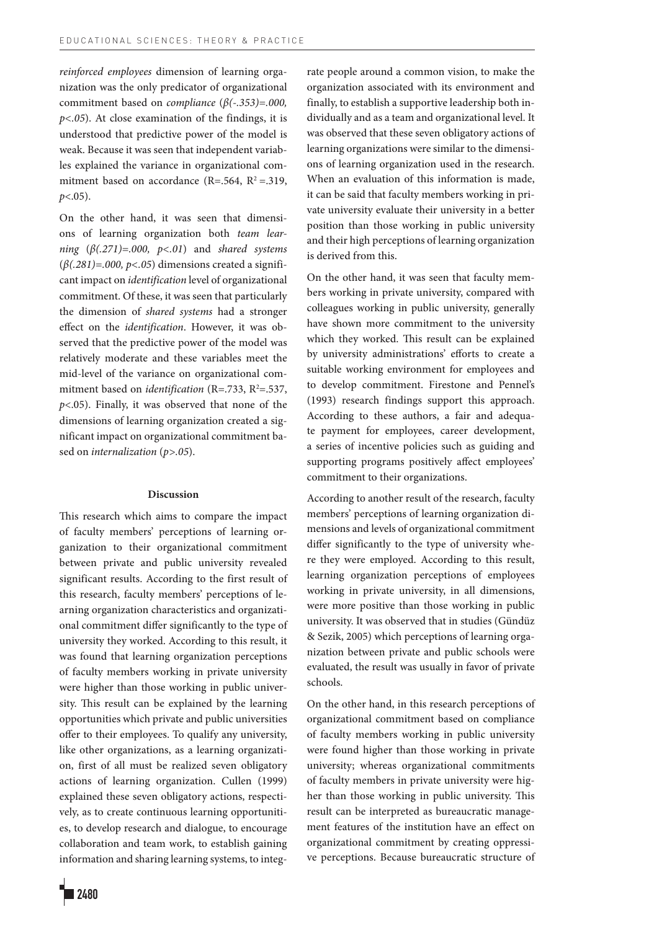*reinforced employees* dimension of learning organization was the only predicator of organizational commitment based on *compliance* (*β(-.353)=.000, p<.05*). At close examination of the findings, it is understood that predictive power of the model is weak. Because it was seen that independent variables explained the variance in organizational commitment based on accordance (R=.564,  $R^2$ =.319, *p*<.05).

On the other hand, it was seen that dimensions of learning organization both *team learning* (*β(.271)=.000, p<.01*) and *shared systems*  $(\beta(.281)=.000, p<.05)$  dimensions created a significant impact on *identification* level of organizational commitment. Of these, it was seen that particularly the dimension of *shared systems* had a stronger effect on the *identification*. However, it was observed that the predictive power of the model was relatively moderate and these variables meet the mid-level of the variance on organizational commitment based on *identification* (R=.733, R<sup>2</sup>=.537, *p*<.05). Finally, it was observed that none of the dimensions of learning organization created a significant impact on organizational commitment based on *internalization* (*p>.05*).

#### **Discussion**

This research which aims to compare the impact of faculty members' perceptions of learning organization to their organizational commitment between private and public university revealed significant results. According to the first result of this research, faculty members' perceptions of learning organization characteristics and organizational commitment differ significantly to the type of university they worked. According to this result, it was found that learning organization perceptions of faculty members working in private university were higher than those working in public university. This result can be explained by the learning opportunities which private and public universities offer to their employees. To qualify any university, like other organizations, as a learning organization, first of all must be realized seven obligatory actions of learning organization. Cullen (1999) explained these seven obligatory actions, respectively, as to create continuous learning opportunities, to develop research and dialogue, to encourage collaboration and team work, to establish gaining information and sharing learning systems, to integrate people around a common vision, to make the organization associated with its environment and finally, to establish a supportive leadership both individually and as a team and organizational level. It was observed that these seven obligatory actions of learning organizations were similar to the dimensions of learning organization used in the research. When an evaluation of this information is made, it can be said that faculty members working in private university evaluate their university in a better position than those working in public university and their high perceptions of learning organization is derived from this.

On the other hand, it was seen that faculty members working in private university, compared with colleagues working in public university, generally have shown more commitment to the university which they worked. This result can be explained by university administrations' efforts to create a suitable working environment for employees and to develop commitment. Firestone and Pennel's (1993) research findings support this approach. According to these authors, a fair and adequate payment for employees, career development, a series of incentive policies such as guiding and supporting programs positively affect employees' commitment to their organizations.

According to another result of the research, faculty members' perceptions of learning organization dimensions and levels of organizational commitment differ significantly to the type of university where they were employed. According to this result, learning organization perceptions of employees working in private university, in all dimensions, were more positive than those working in public university. It was observed that in studies (Gündüz & Sezik, 2005) which perceptions of learning organization between private and public schools were evaluated, the result was usually in favor of private schools.

On the other hand, in this research perceptions of organizational commitment based on compliance of faculty members working in public university were found higher than those working in private university; whereas organizational commitments of faculty members in private university were higher than those working in public university. This result can be interpreted as bureaucratic management features of the institution have an effect on organizational commitment by creating oppressive perceptions. Because bureaucratic structure of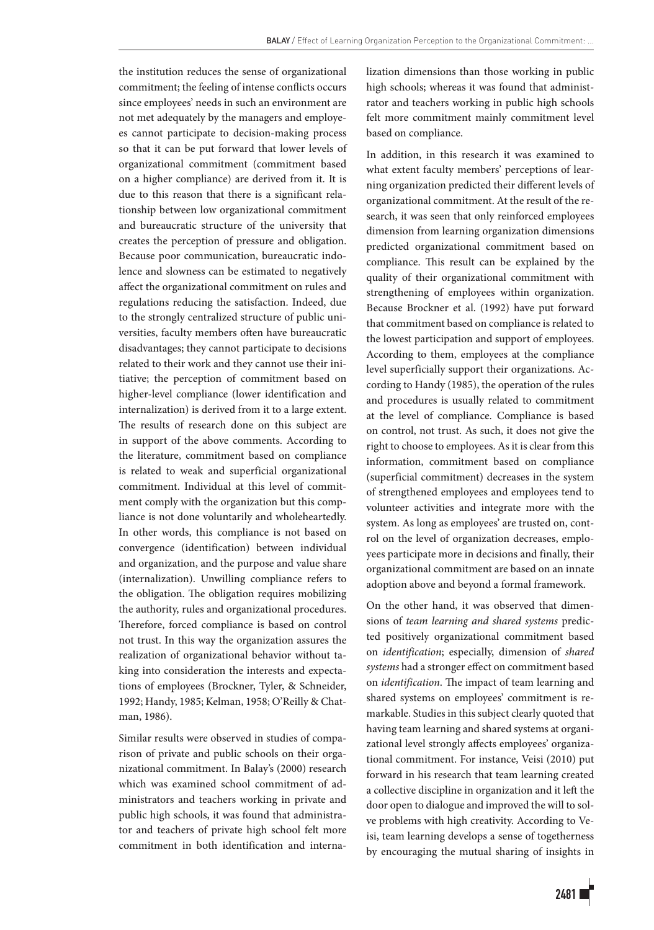the institution reduces the sense of organizational commitment; the feeling of intense conflicts occurs since employees' needs in such an environment are not met adequately by the managers and employees cannot participate to decision-making process so that it can be put forward that lower levels of organizational commitment (commitment based on a higher compliance) are derived from it. It is due to this reason that there is a significant relationship between low organizational commitment and bureaucratic structure of the university that creates the perception of pressure and obligation. Because poor communication, bureaucratic indolence and slowness can be estimated to negatively affect the organizational commitment on rules and regulations reducing the satisfaction. Indeed, due to the strongly centralized structure of public universities, faculty members often have bureaucratic disadvantages; they cannot participate to decisions related to their work and they cannot use their initiative; the perception of commitment based on higher-level compliance (lower identification and internalization) is derived from it to a large extent. The results of research done on this subject are in support of the above comments. According to the literature, commitment based on compliance is related to weak and superficial organizational commitment. Individual at this level of commitment comply with the organization but this compliance is not done voluntarily and wholeheartedly. In other words, this compliance is not based on convergence (identification) between individual and organization, and the purpose and value share (internalization). Unwilling compliance refers to the obligation. The obligation requires mobilizing the authority, rules and organizational procedures. Therefore, forced compliance is based on control not trust. In this way the organization assures the realization of organizational behavior without taking into consideration the interests and expectations of employees (Brockner, Tyler, & Schneider, 1992; Handy, 1985; Kelman, 1958; O'Reilly & Chatman, 1986).

Similar results were observed in studies of comparison of private and public schools on their organizational commitment. In Balay's (2000) research which was examined school commitment of administrators and teachers working in private and public high schools, it was found that administrator and teachers of private high school felt more commitment in both identification and internalization dimensions than those working in public high schools; whereas it was found that administrator and teachers working in public high schools felt more commitment mainly commitment level based on compliance.

In addition, in this research it was examined to what extent faculty members' perceptions of learning organization predicted their different levels of organizational commitment. At the result of the research, it was seen that only reinforced employees dimension from learning organization dimensions predicted organizational commitment based on compliance. This result can be explained by the quality of their organizational commitment with strengthening of employees within organization. Because Brockner et al. (1992) have put forward that commitment based on compliance is related to the lowest participation and support of employees. According to them, employees at the compliance level superficially support their organizations. According to Handy (1985), the operation of the rules and procedures is usually related to commitment at the level of compliance. Compliance is based on control, not trust. As such, it does not give the right to choose to employees. As it is clear from this information, commitment based on compliance (superficial commitment) decreases in the system of strengthened employees and employees tend to volunteer activities and integrate more with the system. As long as employees' are trusted on, control on the level of organization decreases, employees participate more in decisions and finally, their organizational commitment are based on an innate adoption above and beyond a formal framework.

On the other hand, it was observed that dimensions of *team learning and shared systems* predicted positively organizational commitment based on *identification*; especially, dimension of *shared systems* had a stronger effect on commitment based on *identification*. The impact of team learning and shared systems on employees' commitment is remarkable. Studies in this subject clearly quoted that having team learning and shared systems at organizational level strongly affects employees' organizational commitment. For instance, Veisi (2010) put forward in his research that team learning created a collective discipline in organization and it left the door open to dialogue and improved the will to solve problems with high creativity. According to Veisi, team learning develops a sense of togetherness by encouraging the mutual sharing of insights in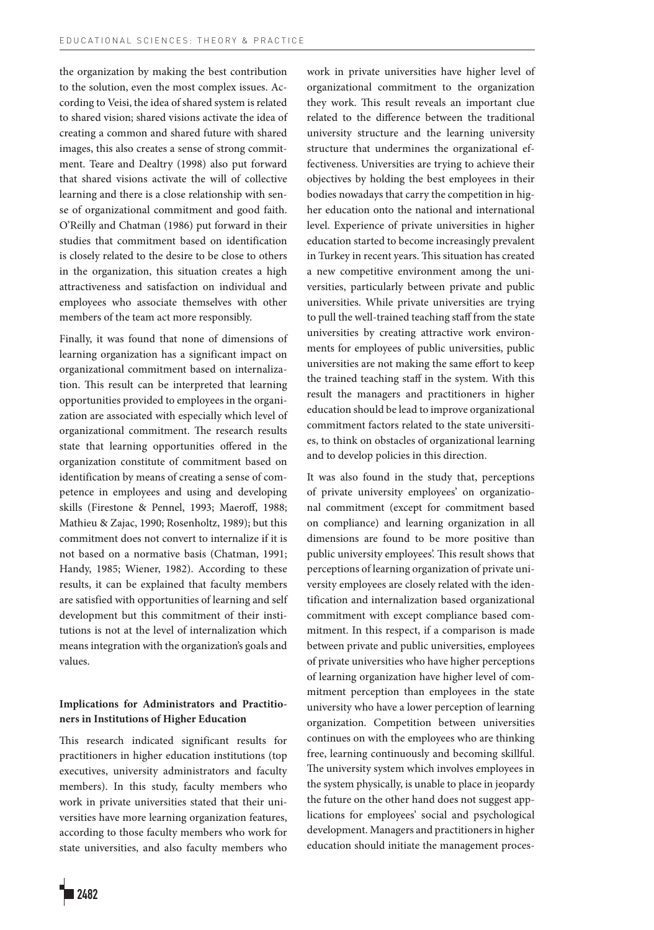the organization by making the best contribution to the solution, even the most complex issues. According to Veisi, the idea of shared system is related to shared vision; shared visions activate the idea of creating a common and shared future with shared images, this also creates a sense of strong commitment. Teare and Dealtry (1998) also put forward that shared visions activate the will of collective learning and there is a close relationship with sense of organizational commitment and good faith. O'Reilly and Chatman (1986) put forward in their studies that commitment based on identification is closely related to the desire to be close to others in the organization, this situation creates a high attractiveness and satisfaction on individual and employees who associate themselves with other members of the team act more responsibly.

Finally, it was found that none of dimensions of learning organization has a significant impact on organizational commitment based on internalization. This result can be interpreted that learning opportunities provided to employees in the organization are associated with especially which level of organizational commitment. The research results state that learning opportunities offered in the organization constitute of commitment based on identification by means of creating a sense of competence in employees and using and developing skills (Firestone & Pennel, 1993; Maeroff, 1988; Mathieu & Zajac, 1990; Rosenholtz, 1989); but this commitment does not convert to internalize if it is not based on a normative basis (Chatman, 1991; Handy, 1985; Wiener, 1982). According to these results, it can be explained that faculty members are satisfied with opportunities of learning and self development but this commitment of their institutions is not at the level of internalization which means integration with the organization's goals and values.

## **Implications for Administrators and Practitioners in Institutions of Higher Education**

This research indicated significant results for practitioners in higher education institutions (top executives, university administrators and faculty members). In this study, faculty members who work in private universities stated that their universities have more learning organization features, according to those faculty members who work for state universities, and also faculty members who work in private universities have higher level of organizational commitment to the organization they work. This result reveals an important clue related to the difference between the traditional university structure and the learning university structure that undermines the organizational effectiveness. Universities are trying to achieve their objectives by holding the best employees in their bodies nowadays that carry the competition in higher education onto the national and international level. Experience of private universities in higher education started to become increasingly prevalent in Turkey in recent years. This situation has created a new competitive environment among the universities, particularly between private and public universities. While private universities are trying to pull the well-trained teaching staff from the state universities by creating attractive work environments for employees of public universities, public universities are not making the same effort to keep the trained teaching staff in the system. With this result the managers and practitioners in higher education should be lead to improve organizational commitment factors related to the state universities, to think on obstacles of organizational learning and to develop policies in this direction.

It was also found in the study that, perceptions of private university employees' on organizational commitment (except for commitment based on compliance) and learning organization in all dimensions are found to be more positive than public university employees'. This result shows that perceptions of learning organization of private university employees are closely related with the identification and internalization based organizational commitment with except compliance based commitment. In this respect, if a comparison is made between private and public universities, employees of private universities who have higher perceptions of learning organization have higher level of commitment perception than employees in the state university who have a lower perception of learning organization. Competition between universities continues on with the employees who are thinking free, learning continuously and becoming skillful. The university system which involves employees in the system physically, is unable to place in jeopardy the future on the other hand does not suggest applications for employees' social and psychological development. Managers and practitioners in higher education should initiate the management proces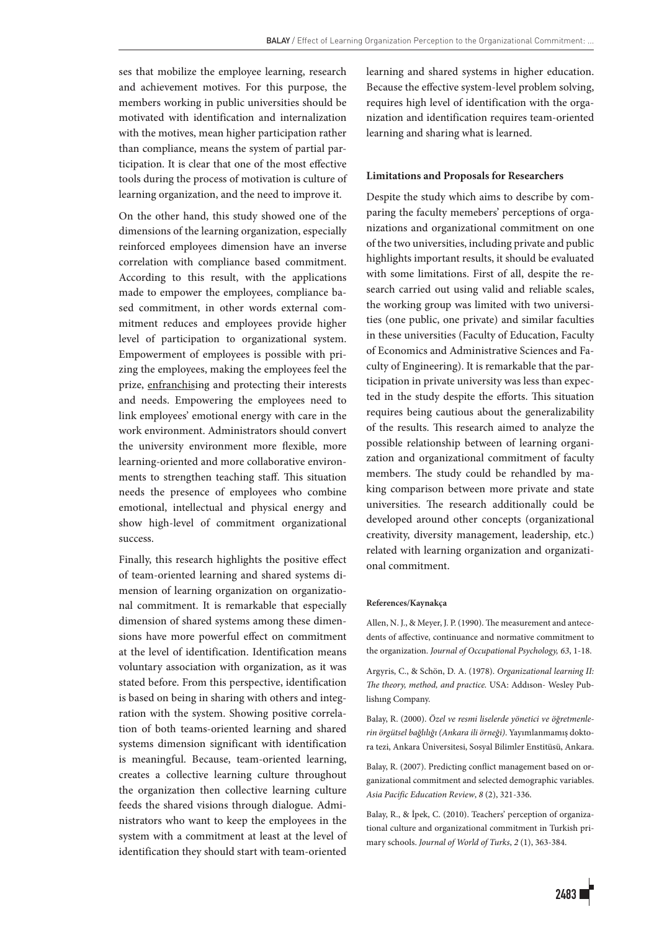ses that mobilize the employee learning, research and achievement motives. For this purpose, the members working in public universities should be motivated with identification and internalization with the motives, mean higher participation rather than compliance, means the system of partial participation. It is clear that one of the most effective tools during the process of motivation is culture of learning organization, and the need to improve it.

On the other hand, this study showed one of the dimensions of the learning organization, especially reinforced employees dimension have an inverse correlation with compliance based commitment. According to this result, with the applications made to empower the employees, compliance based commitment, in other words external commitment reduces and employees provide higher level of participation to organizational system. Empowerment of employees is possible with prizing the employees, making the employees feel the prize, enfranchising and protecting their interests and needs. Empowering the employees need to link employees' emotional energy with care in the work environment. Administrators should convert the university environment more flexible, more learning-oriented and more collaborative environments to strengthen teaching staff. This situation needs the presence of employees who combine emotional, intellectual and physical energy and show high-level of commitment organizational success.

Finally, this research highlights the positive effect of team-oriented learning and shared systems dimension of learning organization on organizational commitment. It is remarkable that especially dimension of shared systems among these dimensions have more powerful effect on commitment at the level of identification. Identification means voluntary association with organization, as it was stated before. From this perspective, identification is based on being in sharing with others and integration with the system. Showing positive correlation of both teams-oriented learning and shared systems dimension significant with identification is meaningful. Because, team-oriented learning, creates a collective learning culture throughout the organization then collective learning culture feeds the shared visions through dialogue. Administrators who want to keep the employees in the system with a commitment at least at the level of identification they should start with team-oriented learning and shared systems in higher education. Because the effective system-level problem solving, requires high level of identification with the organization and identification requires team-oriented learning and sharing what is learned.

## **Limitations and Proposals for Researchers**

Despite the study which aims to describe by comparing the faculty memebers' perceptions of organizations and organizational commitment on one of the two universities, including private and public highlights important results, it should be evaluated with some limitations. First of all, despite the research carried out using valid and reliable scales, the working group was limited with two universities (one public, one private) and similar faculties in these universities (Faculty of Education, Faculty of Economics and Administrative Sciences and Faculty of Engineering). It is remarkable that the participation in private university was less than expected in the study despite the efforts. This situation requires being cautious about the generalizability of the results. This research aimed to analyze the possible relationship between of learning organization and organizational commitment of faculty members. The study could be rehandled by making comparison between more private and state universities. The research additionally could be developed around other concepts (organizational creativity, diversity management, leadership, etc.) related with learning organization and organizational commitment.

#### **References/Kaynakça**

Allen, N. J., & Meyer, J. P. (1990). The measurement and antecedents of affective, continuance and normative commitment to the organization. *Journal of Occupational Psychology, 63*, 1-18.

Argyris, C., & Schön, D. A. (1978). *Organizational learning II: The theory, method, and practice.* USA: Addıson- Wesley Publishıng Company.

Balay, R. (2000). *Özel ve resmi liselerde yönetici ve öğretmenlerin örgütsel bağlılığı (Ankara ili örneği)*. Yayımlanmamış doktora tezi, Ankara Üniversitesi, Sosyal Bilimler Enstitüsü, Ankara.

Balay, R. (2007). Predicting conflict management based on organizational commitment and selected demographic variables. *Asia Pacific Education Review*, *8* (2), 321-336.

Balay, R., & İpek, C. (2010). Teachers' perception of organizational culture and organizational commitment in Turkish primary schools. *Journal of World of Turks*, *2* (1), 363-384.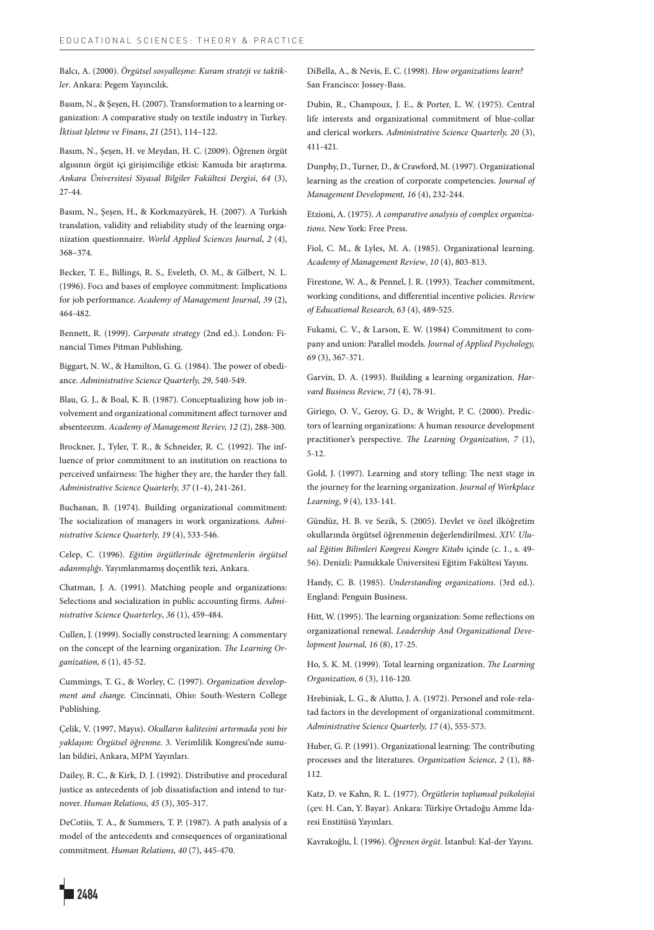Balcı, A. (2000). *Örgütsel sosyalleşme: Kuram strateji ve taktikler*. Ankara: Pegem Yayıncılık.

Basım, N., & Şeşen, H. (2007). Transformation to a learning organization: A comparative study on textile industry in Turkey. *İktisat Işletme ve Finans*, *21* (251), 114–122.

Basım, N., Şeşen, H. ve Meydan, H. C. (2009). Öğrenen örgüt algısının örgüt içi girişimciliğe etkisi: Kamuda bir araştırma. *Ankara Üniversitesi Siyasal Bilgiler Fakültesi Dergisi*, *64* (3), 27-44.

Basım, N., Şeşen, H., & Korkmazyürek, H. (2007). A Turkish translation, validity and reliability study of the learning organization questionnaire. *World Applied Sciences Journal*, *2* (4), 368–374.

Becker, T. E., Billings, R. S., Eveleth, O. M., & Gilbert, N. L. (1996). Focı and bases of employee commitment: Implications for job performance. *Academy of Management Journal, 39* (2), 464-482.

Bennett, R. (1999). *Carporate strategy* (2nd ed.). London: Financial Times Pitman Publishing.

Biggart, N. W., & Hamilton, G. G. (1984). The power of obediance. *Administrative Science Quarterly, 29*, 540-549.

Blau, G. J., & Boal, K. B. (1987). Conceptualizing how job involvement and organizational commitment affect turnover and absenteeızm. *Academy of Management Reviev, 12* (2), 288-300.

Brockner, J., Tyler, T. R., & Schneider, R. C. (1992). The influence of prior commitment to an institution on reactions to perceived unfairness: The higher they are, the harder they fall. *Administrative Science Quarterly, 37* (1-4), 241-261.

Buchanan, B. (1974). Building organizational commitment: The socialization of managers in work organizations. *Administrative Science Quarterly, 19* (4), 533-546.

Celep, C. (1996). *Eğitim örgütlerinde öğretmenlerin örgütsel adanmışlığı*. Yayımlanmamış doçentlik tezi, Ankara.

Chatman, J. A. (1991). Matching people and organizations: Selections and socialization in public accounting firms. *Administrative Science Quarterley*, *36* (1), 459-484.

Cullen, J. (1999). Socially constructed learning: A commentary on the concept of the learning organization. *The Learning Organization, 6* (1), 45-52.

Cummings, T. G., & Worley, C. (1997). *Organization development and change.* Cincinnati, Ohio: South-Western College Publishing.

Çelik, V. (1997, Mayıs). *Okulların kalitesini artırmada yeni bir yaklaşım: Örgütsel öğrenme*. 3. Verimlilik Kongresi'nde sunulan bildiri, Ankara, MPM Yayınları.

Dailey, R. C., & Kirk, D. J. (1992). Distributive and procedural justice as antecedents of job dissatisfaction and intend to turnover. *Human Relations, 45* (3), 305-317.

DeCotiis, T. A., & Summers, T. P. (1987). A path analysis of a model of the antecedents and consequences of organizational commitment. *Human Relations, 40* (7), 445-470.

DiBella, A., & Nevis, E. C. (1998). *How organizations learn?*  San Francisco: Jossey-Bass.

Dubin, R., Champoux, J. E., & Porter, L. W. (1975). Central life interests and organizational commitment of blue-collar and clerical workers. *Administrative Science Quarterly, 20* (3), 411-421.

Dunphy, D., Turner, D., & Crawford, M. (1997). Organizational learning as the creation of corporate competencies. *Journal of Management Development, 16* (4), 232-244.

Etzioni, A. (1975). *A comparative analysis of complex organizations.* New York: Free Press.

Fiol, C. M., & Lyles, M. A. (1985). Organizational learning. *Academy of Management Review*, *10* (4), 803-813.

Firestone, W. A., & Pennel, J. R. (1993). Teacher commitment, working conditions, and differential incentive policies. *Review of Educational Research, 63* (4), 489-525.

Fukami, C. V., & Larson, E. W. (1984) Commitment to company and union: Parallel models. *Journal of Applied Psychology, 69* (3), 367-371.

Garvin, D. A. (1993). Building a learning organization. *Harvard Business Review*, *71* (4), 78-91.

Giriego, O. V., Geroy, G. D., & Wright, P. C. (2000). Predictors of learning organizations: A human resource development practitioner's perspective. *The Learning Organization*, *7* (1), 5-12.

Gold, J. (1997). Learning and story telling: The next stage in the journey for the learning organization. *Journal of Workplace Learning*, *9* (4), 133-141.

Gündüz, H. B. ve Sezik, S. (2005). Devlet ve özel ilköğretim okullarında örgütsel öğrenmenin değerlendirilmesi. *XIV. Ulusal Eğitim Bilimleri Kongresi Kongre Kitabı* içinde (c. 1., s. 49- 56). Denizli: Pamukkale Üniversitesi Eğitim Fakültesi Yayını.

Handy, C. B. (1985). *Understanding organizations.* (3rd ed.). England: Penguin Business.

Hitt, W. (1995). The learning organization: Some reflections on organizational renewal. *Leadership And Organizational Development Journal, 16* (8), 17-25.

Ho, S. K. M. (1999). Total learning organization. *The Learning Organization, 6* (3), 116-120.

Hrebiniak, L. G., & Alutto, J. A. (1972). Personel and role-relatad factors in the development of organizational commitment. *Administrative Science Quarterly, 17* (4), 555-573.

Huber, G. P. (1991). Organizational learning: The contributing processes and the literatures. *Organization Science*, *2* (1), 88- 112.

Katz, D. ve Kahn, R. L. (1977). *Örgütlerin toplumsal psikolojisi* (çev. H. Can, Y. Bayar). Ankara: Türkiye Ortadoğu Amme İdaresi Enstitüsü Yayınları.

Kavrakoğlu, İ. (1996). *Öğrenen örgüt*. İstanbul: Kal-der Yayını.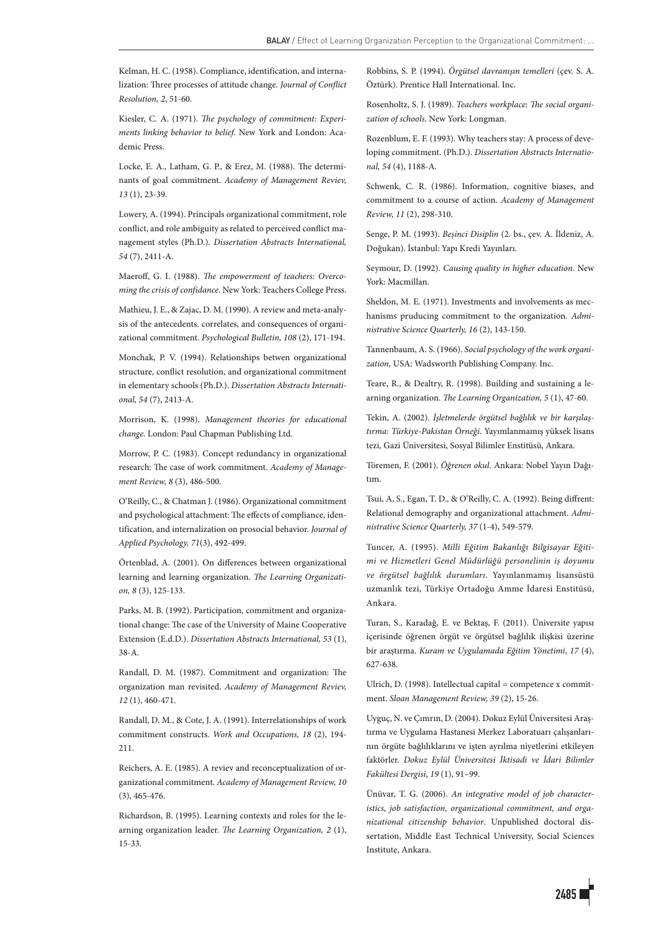Kelman, H. C. (1958). Compliance, identification, and internalization: Three processes of attitude change. *Journal of Conflict Resolution, 2*, 51-60.

Kiesler, C. A. (1971). *The psychology of commitment: Experiments linking behavior to belief*. New York and London: Academic Press.

Locke, E. A., Latham, G. P., & Erez, M. (1988). The determinants of goal commitment. *Academy of Management Reviev, 13* (1), 23-39.

Lowery, A. (1994). Principals organizational commitment, role conflict, and role ambiguity as related to perceived conflict management styles (Ph.D.). *Dissertation Abstracts International, 54* (7), 2411-A.

Maeroff, G. I. (1988). *The empowerment of teachers: Overcoming the crisis of confidance*. New York: Teachers College Press.

Mathieu, J. E., & Zajac, D. M. (1990). A review and meta-analysis of the antecedents. correlates, and consequences of organizational commitment. *Psychological Bulletin, 108* (2), 171-194.

Monchak, P. V. (1994). Relationships betwen organizational structure, conflict resolution, and organizational commitment in elementary schools (Ph.D.). *Dissertation Abstracts International, 54* (7), 2413-A.

Morrison, K. (1998). *Management theories for educational change.* London: Paul Chapman Publishing Ltd.

Morrow, P. C. (1983). Concept redundancy in organizational research: The case of work commitment. *Academy of Management Review, 8* (3), 486-500.

O'Reilly, C., & Chatman J. (1986). Organizational commitment and psychological attachment: The effects of compliance, identification, and internalization on prosocial behavior. *Journal of Applied Psychology, 71*(3), 492-499.

Örtenblad, A. (2001). On differences between organizational learning and learning organization. *The Learning Organization, 8* (3), 125-133.

Parks, M. B. (1992). Participation, commitment and organizational change: The case of the University of Maine Cooperative Extension (E.d.D.). *Dissertation Abstracts International, 53* (1), 38-A.

Randall, D. M. (1987). Commitment and organization: The organization man revisited. *Academy of Management Reviev, 12* (1), 460-471.

Randall, D. M., & Cote, J. A. (1991). Interrelationships of work commitment constructs. *Work and Occupations, 18* (2), 194- 211.

Reichers, A. E. (1985). A reviev and reconceptualization of organizational commitment. *Academy of Management Review, 10* (3), 465-476.

Richardson, B. (1995). Learning contexts and roles for the learning organization leader. *The Learning Organization, 2* (1), 15-33.

Robbins, S. P. (1994). *Örgütsel davranışın temelleri* (çev. S. A. Öztürk). Prentice Hall International. Inc.

Rosenholtz, S. J. (1989). *Teachers workplace: The social organization of schools*. New York: Longman.

Rozenblum, E. F. (1993). Why teachers stay: A process of developing commitment. (Ph.D.). *Dissertation Abstracts International, 54* (4), 1188-A.

Schwenk, C. R. (1986). Information, cognitive biases, and commitment to a course of action. *Academy of Management Review, 11* (2), 298-310.

Senge, P. M. (1993). *Beşinci Disiplin* (2. bs., çev. A. İldeniz, A. Doğukan). İstanbul: Yapı Kredi Yayınları.

Seymour, D. (1992). *Causing quality in higher education*. New York: Macmillan.

Sheldon, M. E. (1971). Investments and involvements as mechanisms pruducing commitment to the organization. *Administrative Science Quarterly, 16* (2), 143-150.

Tannenbaum, A. S. (1966). *Social psychology of the work organization,* USA: Wadsworth Publishing Company. Inc.

Teare, R., & Dealtry, R. (1998). Building and sustaining a learning organization. *The Learning Organization, 5* (1), 47-60.

Tekin, A. (2002). *İşletmelerde örgütsel bağlılık ve bir karşılaştırma: Türkiye-Pakistan Örneği*. Yayımlanmamış yüksek lisans tezi*,* Gazi Üniversitesi, Sosyal Bilimler Enstitüsü, Ankara.

Töremen, F. (2001). *Öğrenen okul*. Ankara: Nobel Yayın Dağıtım.

Tsui, A, S., Egan, T. D., & O'Reilly, C. A. (1992). Being diffrent: Relational demography and organizational attachment. *Administrative Science Quarterly, 37* (1-4), 549-579.

Tuncer, A. (1995). *Milli Eğitim Bakanlığı Bilgisayar Eğitimi ve Hizmetleri Genel Müdürlüğü personelinin iş doyumu ve örgütsel bağlılık durumları*. Yayınlanmamış lisansüstü uzmanlık tezi, Türkiye Ortadoğu Amme İdaresi Enstitüsü, Ankara.

Turan, S., Karadağ, E. ve Bektaş, F. (2011). Üniversite yapısı içerisinde öğrenen örgüt ve örgütsel bağlılık ilişkisi üzerine bir araştırma. *Kuram ve Uygulamada Eğitim Yönetimi*, *17* (4), 627-638.

Ulrich, D. (1998). Intellectual capital = competence x commitment. *Sloan Management Review, 39* (2), 15-26.

Uyguç, N. ve Çımrın, D. (2004). Dokuz Eylül Üniversitesi Araştırma ve Uygulama Hastanesi Merkez Laboratuarı çalışanlarının örgüte bağlılıklarını ve işten ayrılma niyetlerini etkileyen faktörler. *Dokuz Eylül Üniversitesi İktisadi ve İdari Bilimler Fakültesi Dergisi*, *19* (1), 91–99.

Ünüvar, T. G. (2006). *An integrative model of job characteristics, job satisfaction, organizational commitment, and organizational citizenship behavior*. Unpublished doctoral dissertation, Middle East Technical University, Social Sciences Institute, Ankara.